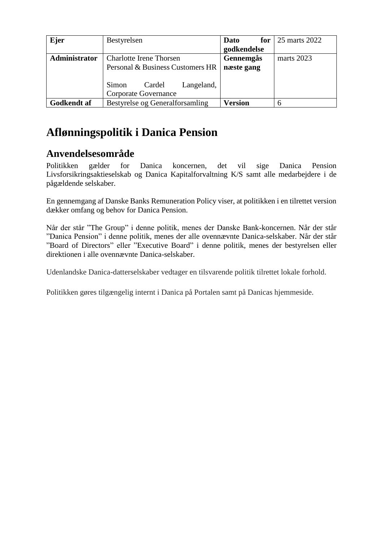| Ejer               | Bestyrelsen                                                  | Dato<br>for    | 25 marts 2022 |
|--------------------|--------------------------------------------------------------|----------------|---------------|
|                    |                                                              | godkendelse    |               |
| Administrator      | <b>Charlotte Irene Thorsen</b>                               | Gennemgås      | marts 2023    |
|                    | Personal & Business Customers HR                             | næste gang     |               |
|                    | Simon<br>Langeland,<br>Cardel<br><b>Corporate Governance</b> |                |               |
| <b>Godkendt</b> af | Bestyrelse og Generalforsamling                              | <b>Version</b> | 6             |

# **Aflønningspolitik i Danica Pension**

## **Anvendelsesområde**

Politikken gælder for Danica koncernen, det vil sige Danica Pension Livsforsikringsaktieselskab og Danica Kapitalforvaltning K/S samt alle medarbejdere i de pågældende selskaber.

En gennemgang af Danske Banks Remuneration Policy viser, at politikken i en tilrettet version dækker omfang og behov for Danica Pension.

Når der står "The Group" i denne politik, menes der Danske Bank-koncernen. Når der står "Danica Pension" i denne politik, menes der alle ovennævnte Danica-selskaber. Når der står "Board of Directors" eller "Executive Board" i denne politik, menes der bestyrelsen eller direktionen i alle ovennævnte Danica-selskaber.

Udenlandske Danica-datterselskaber vedtager en tilsvarende politik tilrettet lokale forhold.

Politikken gøres tilgængelig internt i Danica på Portalen samt på Danicas hjemmeside.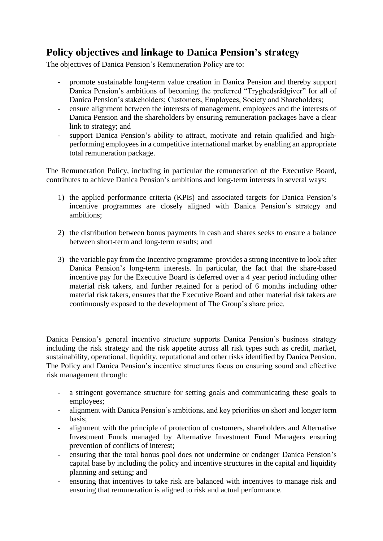## **Policy objectives and linkage to Danica Pension's strategy**

The objectives of Danica Pension's Remuneration Policy are to:

- promote sustainable long-term value creation in Danica Pension and thereby support Danica Pension's ambitions of becoming the preferred "Tryghedsrådgiver" for all of Danica Pension's stakeholders; Customers, Employees, Society and Shareholders;
- ensure alignment between the interests of management, employees and the interests of Danica Pension and the shareholders by ensuring remuneration packages have a clear link to strategy; and
- support Danica Pension's ability to attract, motivate and retain qualified and highperforming employees in a competitive international market by enabling an appropriate total remuneration package.

The Remuneration Policy, including in particular the remuneration of the Executive Board, contributes to achieve Danica Pension's ambitions and long-term interests in several ways:

- 1) the applied performance criteria (KPIs) and associated targets for Danica Pension's incentive programmes are closely aligned with Danica Pension's strategy and ambitions;
- 2) the distribution between bonus payments in cash and shares seeks to ensure a balance between short-term and long-term results; and
- 3) the variable pay from the Incentive programme provides a strong incentive to look after Danica Pension's long-term interests. In particular, the fact that the share-based incentive pay for the Executive Board is deferred over a 4 year period including other material risk takers, and further retained for a period of 6 months including other material risk takers, ensures that the Executive Board and other material risk takers are continuously exposed to the development of The Group's share price.

Danica Pension's general incentive structure supports Danica Pension's business strategy including the risk strategy and the risk appetite across all risk types such as credit, market, sustainability, operational, liquidity, reputational and other risks identified by Danica Pension. The Policy and Danica Pension's incentive structures focus on ensuring sound and effective risk management through:

- a stringent governance structure for setting goals and communicating these goals to employees;
- alignment with Danica Pension's ambitions, and key priorities on short and longer term basis;
- alignment with the principle of protection of customers, shareholders and Alternative Investment Funds managed by Alternative Investment Fund Managers ensuring prevention of conflicts of interest;
- ensuring that the total bonus pool does not undermine or endanger Danica Pension's capital base by including the policy and incentive structures in the capital and liquidity planning and setting; and
- ensuring that incentives to take risk are balanced with incentives to manage risk and ensuring that remuneration is aligned to risk and actual performance.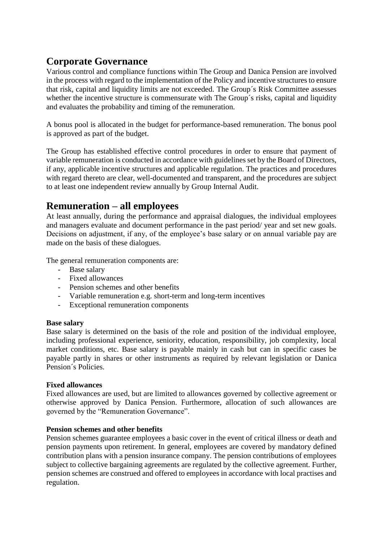## **Corporate Governance**

Various control and compliance functions within The Group and Danica Pension are involved in the process with regard to the implementation of the Policy and incentive structures to ensure that risk, capital and liquidity limits are not exceeded. The Group´s Risk Committee assesses whether the incentive structure is commensurate with The Group's risks, capital and liquidity and evaluates the probability and timing of the remuneration.

A bonus pool is allocated in the budget for performance-based remuneration. The bonus pool is approved as part of the budget.

The Group has established effective control procedures in order to ensure that payment of variable remuneration is conducted in accordance with guidelines set by the Board of Directors, if any, applicable incentive structures and applicable regulation. The practices and procedures with regard thereto are clear, well-documented and transparent, and the procedures are subject to at least one independent review annually by Group Internal Audit.

## **Remuneration – all employees**

At least annually, during the performance and appraisal dialogues, the individual employees and managers evaluate and document performance in the past period/ year and set new goals. Decisions on adjustment, if any, of the employee's base salary or on annual variable pay are made on the basis of these dialogues.

The general remuneration components are:

- Base salary
- Fixed allowances
- Pension schemes and other benefits
- Variable remuneration e.g. short-term and long-term incentives
- Exceptional remuneration components

### **Base salary**

Base salary is determined on the basis of the role and position of the individual employee, including professional experience, seniority, education, responsibility, job complexity, local market conditions, etc. Base salary is payable mainly in cash but can in specific cases be payable partly in shares or other instruments as required by relevant legislation or Danica Pension´s Policies.

### **Fixed allowances**

Fixed allowances are used, but are limited to allowances governed by collective agreement or otherwise approved by Danica Pension. Furthermore, allocation of such allowances are governed by the "Remuneration Governance".

### **Pension schemes and other benefits**

Pension schemes guarantee employees a basic cover in the event of critical illness or death and pension payments upon retirement. In general, employees are covered by mandatory defined contribution plans with a pension insurance company. The pension contributions of employees subject to collective bargaining agreements are regulated by the collective agreement. Further, pension schemes are construed and offered to employees in accordance with local practises and regulation.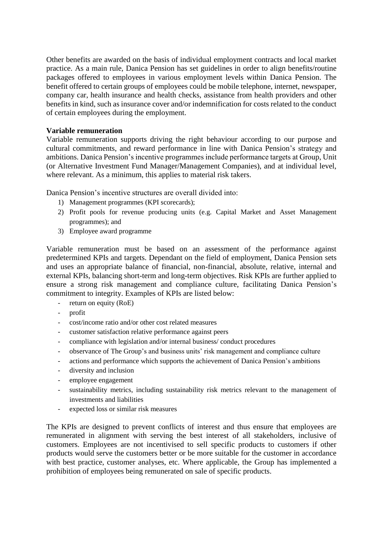Other benefits are awarded on the basis of individual employment contracts and local market practice. As a main rule, Danica Pension has set guidelines in order to align benefits/routine packages offered to employees in various employment levels within Danica Pension. The benefit offered to certain groups of employees could be mobile telephone, internet, newspaper, company car, health insurance and health checks, assistance from health providers and other benefits in kind, such as insurance cover and/or indemnification for costs related to the conduct of certain employees during the employment.

### **Variable remuneration**

Variable remuneration supports driving the right behaviour according to our purpose and cultural commitments, and reward performance in line with Danica Pension's strategy and ambitions. Danica Pension's incentive programmes include performance targets at Group, Unit (or Alternative Investment Fund Manager/Management Companies), and at individual level, where relevant. As a minimum, this applies to material risk takers.

Danica Pension's incentive structures are overall divided into:

- 1) Management programmes (KPI scorecards);
- 2) Profit pools for revenue producing units (e.g. Capital Market and Asset Management programmes); and
- 3) Employee award programme

Variable remuneration must be based on an assessment of the performance against predetermined KPIs and targets. Dependant on the field of employment, Danica Pension sets and uses an appropriate balance of financial, non-financial, absolute, relative, internal and external KPIs, balancing short-term and long-term objectives. Risk KPIs are further applied to ensure a strong risk management and compliance culture, facilitating Danica Pension's commitment to integrity. Examples of KPIs are listed below:

- return on equity (RoE)
- profit
- cost/income ratio and/or other cost related measures
- customer satisfaction relative performance against peers
- compliance with legislation and/or internal business/ conduct procedures
- observance of The Group's and business units' risk management and compliance culture
- actions and performance which supports the achievement of Danica Pension's ambitions
- diversity and inclusion
- employee engagement
- sustainability metrics, including sustainability risk metrics relevant to the management of investments and liabilities
- expected loss or similar risk measures

The KPIs are designed to prevent conflicts of interest and thus ensure that employees are remunerated in alignment with serving the best interest of all stakeholders, inclusive of customers. Employees are not incentivised to sell specific products to customers if other products would serve the customers better or be more suitable for the customer in accordance with best practice, customer analyses, etc. Where applicable, the Group has implemented a prohibition of employees being remunerated on sale of specific products.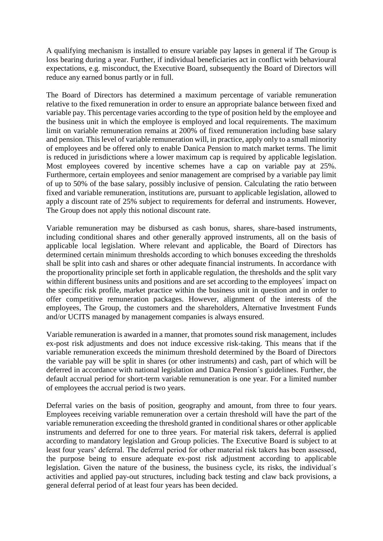A qualifying mechanism is installed to ensure variable pay lapses in general if The Group is loss bearing during a year. Further, if individual beneficiaries act in conflict with behavioural expectations, e.g. misconduct, the Executive Board, subsequently the Board of Directors will reduce any earned bonus partly or in full.

The Board of Directors has determined a maximum percentage of variable remuneration relative to the fixed remuneration in order to ensure an appropriate balance between fixed and variable pay. This percentage varies according to the type of position held by the employee and the business unit in which the employee is employed and local requirements. The maximum limit on variable remuneration remains at 200% of fixed remuneration including base salary and pension. This level of variable remuneration will, in practice, apply only to a small minority of employees and be offered only to enable Danica Pension to match market terms. The limit is reduced in jurisdictions where a lower maximum cap is required by applicable legislation. Most employees covered by incentive schemes have a cap on variable pay at 25%. Furthermore, certain employees and senior management are comprised by a variable pay limit of up to 50% of the base salary, possibly inclusive of pension. Calculating the ratio between fixed and variable remuneration, institutions are, pursuant to applicable legislation, allowed to apply a discount rate of 25% subject to requirements for deferral and instruments. However, The Group does not apply this notional discount rate.

Variable remuneration may be disbursed as cash bonus, shares, share-based instruments, including conditional shares and other generally approved instruments, all on the basis of applicable local legislation. Where relevant and applicable, the Board of Directors has determined certain minimum thresholds according to which bonuses exceeding the thresholds shall be split into cash and shares or other adequate financial instruments. In accordance with the proportionality principle set forth in applicable regulation, the thresholds and the split vary within different business units and positions and are set according to the employees' impact on the specific risk profile, market practice within the business unit in question and in order to offer competitive remuneration packages. However, alignment of the interests of the employees, The Group, the customers and the shareholders, Alternative Investment Funds and/or UCITS managed by management companies is always ensured.

Variable remuneration is awarded in a manner, that promotes sound risk management, includes ex-post risk adjustments and does not induce excessive risk-taking. This means that if the variable remuneration exceeds the minimum threshold determined by the Board of Directors the variable pay will be split in shares (or other instruments) and cash, part of which will be deferred in accordance with national legislation and Danica Pension´s guidelines. Further, the default accrual period for short-term variable remuneration is one year. For a limited number of employees the accrual period is two years.

Deferral varies on the basis of position, geography and amount, from three to four years. Employees receiving variable remuneration over a certain threshold will have the part of the variable remuneration exceeding the threshold granted in conditional shares or other applicable instruments and deferred for one to three years. For material risk takers, deferral is applied according to mandatory legislation and Group policies. The Executive Board is subject to at least four years' deferral. The deferral period for other material risk takers has been assessed, the purpose being to ensure adequate ex-post risk adjustment according to applicable legislation. Given the nature of the business, the business cycle, its risks, the individual´s activities and applied pay-out structures, including back testing and claw back provisions, a general deferral period of at least four years has been decided.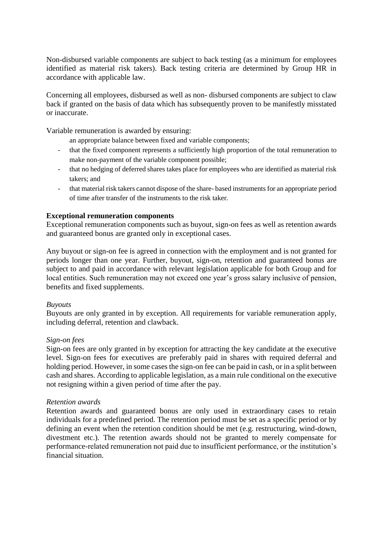Non-disbursed variable components are subject to back testing (as a minimum for employees identified as material risk takers). Back testing criteria are determined by Group HR in accordance with applicable law.

Concerning all employees, disbursed as well as non- disbursed components are subject to claw back if granted on the basis of data which has subsequently proven to be manifestly misstated or inaccurate.

Variable remuneration is awarded by ensuring:

an appropriate balance between fixed and variable components;

- that the fixed component represents a sufficiently high proportion of the total remuneration to make non-payment of the variable component possible;
- that no hedging of deferred shares takes place for employees who are identified as material risk takers; and
- that material risk takers cannot dispose of the share- based instruments for an appropriate period of time after transfer of the instruments to the risk taker.

### **Exceptional remuneration components**

Exceptional remuneration components such as buyout, sign-on fees as well as retention awards and guaranteed bonus are granted only in exceptional cases.

Any buyout or sign-on fee is agreed in connection with the employment and is not granted for periods longer than one year. Further, buyout, sign-on, retention and guaranteed bonus are subject to and paid in accordance with relevant legislation applicable for both Group and for local entities. Such remuneration may not exceed one year's gross salary inclusive of pension, benefits and fixed supplements.

### *Buyouts*

Buyouts are only granted in by exception. All requirements for variable remuneration apply, including deferral, retention and clawback.

#### *Sign-on fees*

Sign-on fees are only granted in by exception for attracting the key candidate at the executive level. Sign-on fees for executives are preferably paid in shares with required deferral and holding period. However, in some cases the sign-on fee can be paid in cash, or in a split between cash and shares. According to applicable legislation, as a main rule conditional on the executive not resigning within a given period of time after the pay.

#### *Retention awards*

Retention awards and guaranteed bonus are only used in extraordinary cases to retain individuals for a predefined period. The retention period must be set as a specific period or by defining an event when the retention condition should be met (e.g. restructuring, wind-down, divestment etc.). The retention awards should not be granted to merely compensate for performance-related remuneration not paid due to insufficient performance, or the institution's financial situation.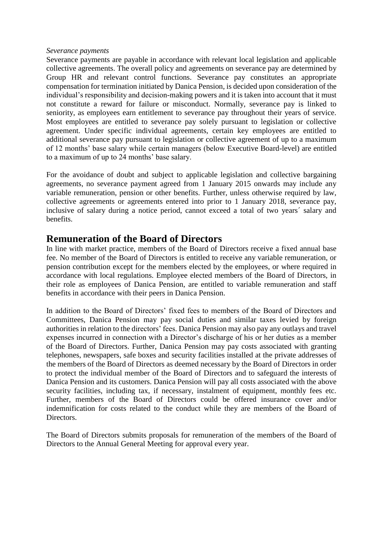#### *Severance payments*

Severance payments are payable in accordance with relevant local legislation and applicable collective agreements. The overall policy and agreements on severance pay are determined by Group HR and relevant control functions. Severance pay constitutes an appropriate compensation for termination initiated by Danica Pension, is decided upon consideration of the individual's responsibility and decision-making powers and it is taken into account that it must not constitute a reward for failure or misconduct. Normally, severance pay is linked to seniority, as employees earn entitlement to severance pay throughout their years of service. Most employees are entitled to severance pay solely pursuant to legislation or collective agreement. Under specific individual agreements, certain key employees are entitled to additional severance pay pursuant to legislation or collective agreement of up to a maximum of 12 months' base salary while certain managers (below Executive Board-level) are entitled to a maximum of up to 24 months' base salary.

For the avoidance of doubt and subject to applicable legislation and collective bargaining agreements, no severance payment agreed from 1 January 2015 onwards may include any variable remuneration, pension or other benefits. Further, unless otherwise required by law, collective agreements or agreements entered into prior to 1 January 2018, severance pay, inclusive of salary during a notice period, cannot exceed a total of two years´ salary and benefits.

### **Remuneration of the Board of Directors**

In line with market practice, members of the Board of Directors receive a fixed annual base fee. No member of the Board of Directors is entitled to receive any variable remuneration, or pension contribution except for the members elected by the employees, or where required in accordance with local regulations. Employee elected members of the Board of Directors, in their role as employees of Danica Pension, are entitled to variable remuneration and staff benefits in accordance with their peers in Danica Pension.

In addition to the Board of Directors' fixed fees to members of the Board of Directors and Committees, Danica Pension may pay social duties and similar taxes levied by foreign authorities in relation to the directors' fees. Danica Pension may also pay any outlays and travel expenses incurred in connection with a Director's discharge of his or her duties as a member of the Board of Directors. Further, Danica Pension may pay costs associated with granting telephones, newspapers, safe boxes and security facilities installed at the private addresses of the members of the Board of Directors as deemed necessary by the Board of Directors in order to protect the individual member of the Board of Directors and to safeguard the interests of Danica Pension and its customers. Danica Pension will pay all costs associated with the above security facilities, including tax, if necessary, instalment of equipment, monthly fees etc. Further, members of the Board of Directors could be offered insurance cover and/or indemnification for costs related to the conduct while they are members of the Board of **Directors** 

The Board of Directors submits proposals for remuneration of the members of the Board of Directors to the Annual General Meeting for approval every year.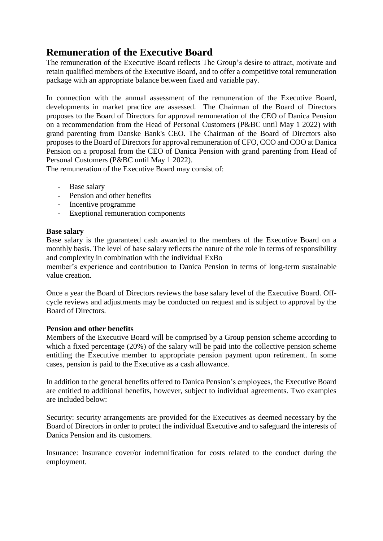## **Remuneration of the Executive Board**

The remuneration of the Executive Board reflects The Group's desire to attract, motivate and retain qualified members of the Executive Board, and to offer a competitive total remuneration package with an appropriate balance between fixed and variable pay.

In connection with the annual assessment of the remuneration of the Executive Board, developments in market practice are assessed. The Chairman of the Board of Directors proposes to the Board of Directors for approval remuneration of the CEO of Danica Pension on a recommendation from the Head of Personal Customers (P&BC until May 1 2022) with grand parenting from Danske Bank's CEO. The Chairman of the Board of Directors also proposes to the Board of Directors for approval remuneration of CFO, CCO and COO at Danica Pension on a proposal from the CEO of Danica Pension with grand parenting from Head of Personal Customers (P&BC until May 1 2022).

The remuneration of the Executive Board may consist of:

- Base salary
- Pension and other benefits
- Incentive programme
- Exeptional remuneration components

### **Base salary**

Base salary is the guaranteed cash awarded to the members of the Executive Board on a monthly basis. The level of base salary reflects the nature of the role in terms of responsibility and complexity in combination with the individual ExBo

member's experience and contribution to Danica Pension in terms of long-term sustainable value creation.

Once a year the Board of Directors reviews the base salary level of the Executive Board. Offcycle reviews and adjustments may be conducted on request and is subject to approval by the Board of Directors.

### **Pension and other benefits**

Members of the Executive Board will be comprised by a Group pension scheme according to which a fixed percentage (20%) of the salary will be paid into the collective pension scheme entitling the Executive member to appropriate pension payment upon retirement. In some cases, pension is paid to the Executive as a cash allowance.

In addition to the general benefits offered to Danica Pension's employees, the Executive Board are entitled to additional benefits, however, subject to individual agreements. Two examples are included below:

Security: security arrangements are provided for the Executives as deemed necessary by the Board of Directors in order to protect the individual Executive and to safeguard the interests of Danica Pension and its customers.

Insurance: Insurance cover/or indemnification for costs related to the conduct during the employment.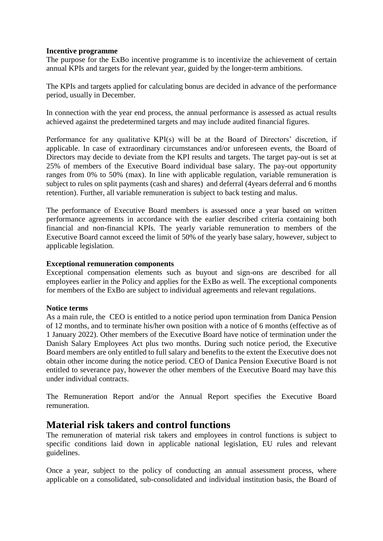### **Incentive programme**

The purpose for the ExBo incentive programme is to incentivize the achievement of certain annual KPIs and targets for the relevant year, guided by the longer-term ambitions.

The KPIs and targets applied for calculating bonus are decided in advance of the performance period, usually in December.

In connection with the year end process, the annual performance is assessed as actual results achieved against the predetermined targets and may include audited financial figures.

Performance for any qualitative KPI(s) will be at the Board of Directors' discretion, if applicable. In case of extraordinary circumstances and/or unforeseen events, the Board of Directors may decide to deviate from the KPI results and targets. The target pay-out is set at 25% of members of the Executive Board individual base salary. The pay-out opportunity ranges from 0% to 50% (max). In line with applicable regulation, variable remuneration is subject to rules on split payments (cash and shares) and deferral (4years deferral and 6 months retention). Further, all variable remuneration is subject to back testing and malus.

The performance of Executive Board members is assessed once a year based on written performance agreements in accordance with the earlier described criteria containing both financial and non-financial KPIs. The yearly variable remuneration to members of the Executive Board cannot exceed the limit of 50% of the yearly base salary, however, subject to applicable legislation.

#### **Exceptional remuneration components**

Exceptional compensation elements such as buyout and sign-ons are described for all employees earlier in the Policy and applies for the ExBo as well. The exceptional components for members of the ExBo are subject to individual agreements and relevant regulations.

### **Notice terms**

As a main rule, the CEO is entitled to a notice period upon termination from Danica Pension of 12 months, and to terminate his/her own position with a notice of 6 months (effective as of 1 January 2022). Other members of the Executive Board have notice of termination under the Danish Salary Employees Act plus two months. During such notice period, the Executive Board members are only entitled to full salary and benefits to the extent the Executive does not obtain other income during the notice period. CEO of Danica Pension Executive Board is not entitled to severance pay, however the other members of the Executive Board may have this under individual contracts.

The Remuneration Report and/or the Annual Report specifies the Executive Board remuneration.

### **Material risk takers and control functions**

The remuneration of material risk takers and employees in control functions is subject to specific conditions laid down in applicable national legislation, EU rules and relevant guidelines.

Once a year, subject to the policy of conducting an annual assessment process, where applicable on a consolidated, sub-consolidated and individual institution basis, the Board of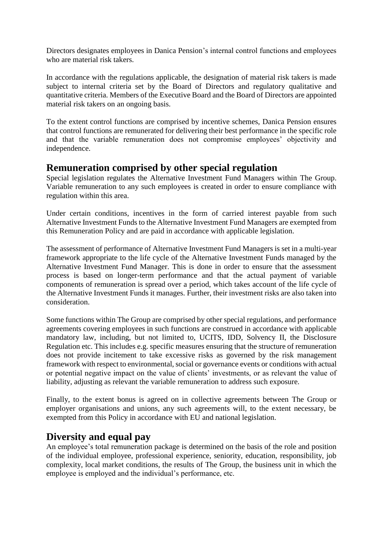Directors designates employees in Danica Pension's internal control functions and employees who are material risk takers.

In accordance with the regulations applicable, the designation of material risk takers is made subject to internal criteria set by the Board of Directors and regulatory qualitative and quantitative criteria. Members of the Executive Board and the Board of Directors are appointed material risk takers on an ongoing basis.

To the extent control functions are comprised by incentive schemes, Danica Pension ensures that control functions are remunerated for delivering their best performance in the specific role and that the variable remuneration does not compromise employees' objectivity and independence.

### **Remuneration comprised by other special regulation**

Special legislation regulates the Alternative Investment Fund Managers within The Group. Variable remuneration to any such employees is created in order to ensure compliance with regulation within this area.

Under certain conditions, incentives in the form of carried interest payable from such Alternative Investment Funds to the Alternative Investment Fund Managers are exempted from this Remuneration Policy and are paid in accordance with applicable legislation.

The assessment of performance of Alternative Investment Fund Managers is set in a multi-year framework appropriate to the life cycle of the Alternative Investment Funds managed by the Alternative Investment Fund Manager. This is done in order to ensure that the assessment process is based on longer-term performance and that the actual payment of variable components of remuneration is spread over a period, which takes account of the life cycle of the Alternative Investment Funds it manages. Further, their investment risks are also taken into consideration.

Some functions within The Group are comprised by other special regulations, and performance agreements covering employees in such functions are construed in accordance with applicable mandatory law, including, but not limited to, UCITS, IDD, Solvency II, the Disclosure Regulation etc. This includes e.g. specific measures ensuring that the structure of remuneration does not provide incitement to take excessive risks as governed by the risk management framework with respect to environmental, social or governance events or conditions with actual or potential negative impact on the value of clients' investments, or as relevant the value of liability, adjusting as relevant the variable remuneration to address such exposure.

Finally, to the extent bonus is agreed on in collective agreements between The Group or employer organisations and unions, any such agreements will, to the extent necessary, be exempted from this Policy in accordance with EU and national legislation.

### **Diversity and equal pay**

An employee's total remuneration package is determined on the basis of the role and position of the individual employee, professional experience, seniority, education, responsibility, job complexity, local market conditions, the results of The Group, the business unit in which the employee is employed and the individual's performance, etc.